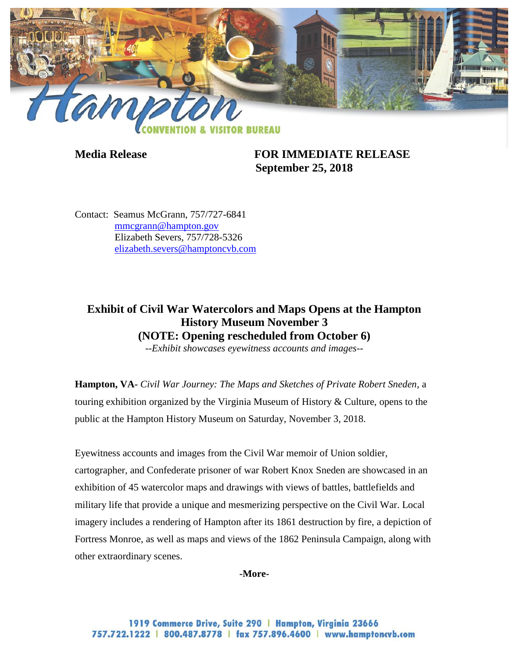

**Media Release FOR IMMEDIATE RELEASE September 25, 2018**

Contact: Seamus McGrann, 757/727-6841 [mmcgrann@hampton.gov](mailto:mmcgrann@hampton.gov) Elizabeth Severs, 757/728-5326 [elizabeth.severs@hamptoncvb.com](mailto:elizabeth.severs@hamptoncvb.com)

## **Exhibit of Civil War Watercolors and Maps Opens at the Hampton History Museum November 3 (NOTE: Opening rescheduled from October 6)**

*--Exhibit showcases eyewitness accounts and images--*

**Hampton, VA-** *Civil War Journey: The Maps and Sketches of Private Robert Sneden*, a touring exhibition organized by the Virginia Museum of History & Culture, opens to the public at the Hampton History Museum on Saturday, November 3, 2018.

Eyewitness accounts and images from the Civil War memoir of Union soldier, cartographer, and Confederate prisoner of war Robert Knox Sneden are showcased in an exhibition of 45 watercolor maps and drawings with views of battles, battlefields and military life that provide a unique and mesmerizing perspective on the Civil War. Local imagery includes a rendering of Hampton after its 1861 destruction by fire, a depiction of Fortress Monroe, as well as maps and views of the 1862 Peninsula Campaign, along with other extraordinary scenes.

**-More-**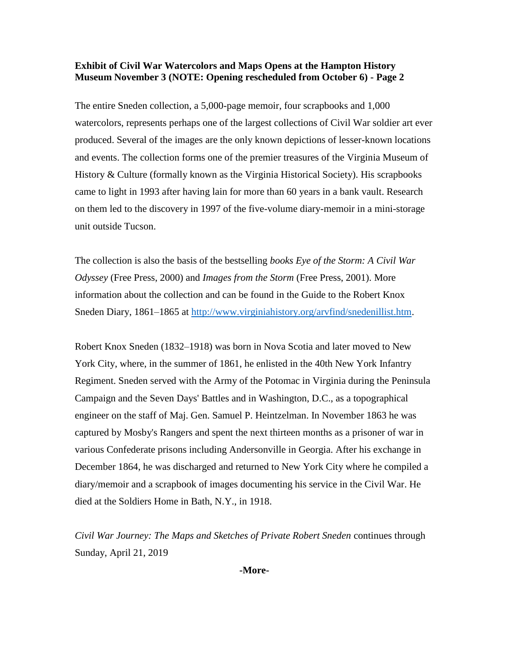## **Exhibit of Civil War Watercolors and Maps Opens at the Hampton History Museum November 3 (NOTE: Opening rescheduled from October 6) - Page 2**

The entire Sneden collection, a 5,000-page memoir, four scrapbooks and 1,000 watercolors, represents perhaps one of the largest collections of Civil War soldier art ever produced. Several of the images are the only known depictions of lesser-known locations and events. The collection forms one of the premier treasures of the Virginia Museum of History & Culture (formally known as the Virginia Historical Society). His scrapbooks came to light in 1993 after having lain for more than 60 years in a bank vault. Research on them led to the discovery in 1997 of the five-volume diary-memoir in a mini-storage unit outside Tucson.

The collection is also the basis of the bestselling *books Eye of the Storm: A Civil War Odyssey* (Free Press, 2000) and *Images from the Storm* (Free Press, 2001). More information about the collection and can be found in the Guide to the Robert Knox Sneden Diary, 1861–1865 at [http://www.virginiahistory.org/arvfind/snedenillist.htm.](http://www.virginiahistory.org/arvfind/snedenillist.htm)

Robert Knox Sneden (1832–1918) was born in Nova Scotia and later moved to New York City, where, in the summer of 1861, he enlisted in the 40th New York Infantry Regiment. Sneden served with the Army of the Potomac in Virginia during the Peninsula Campaign and the Seven Days' Battles and in Washington, D.C., as a topographical engineer on the staff of Maj. Gen. Samuel P. Heintzelman. In November 1863 he was captured by Mosby's Rangers and spent the next thirteen months as a prisoner of war in various Confederate prisons including Andersonville in Georgia. After his exchange in December 1864, he was discharged and returned to New York City where he compiled a diary/memoir and a scrapbook of images documenting his service in the Civil War. He died at the Soldiers Home in Bath, N.Y., in 1918.

*Civil War Journey: The Maps and Sketches of Private Robert Sneden* continues through Sunday, April 21, 2019

**-More-**